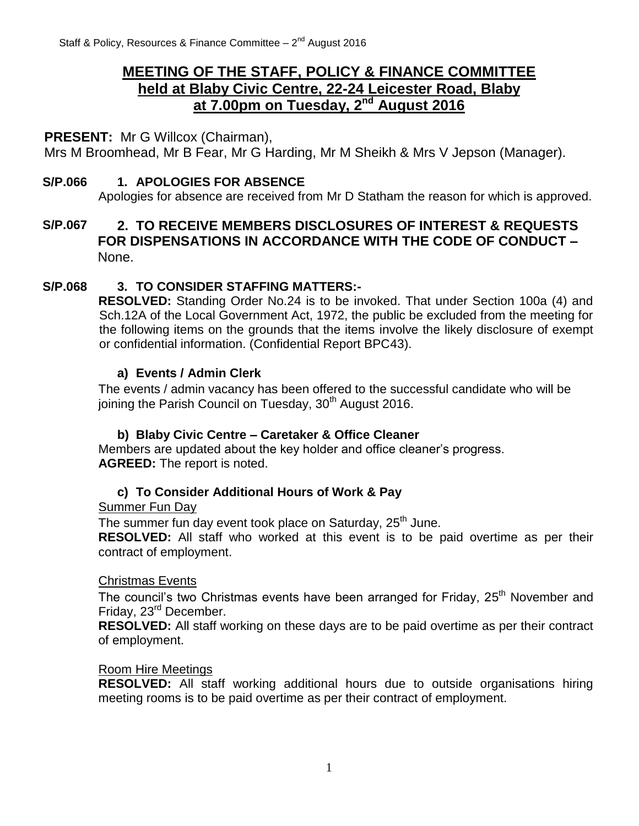# **MEETING OF THE STAFF, POLICY & FINANCE COMMITTEE held at Blaby Civic Centre, 22-24 Leicester Road, Blaby at 7.00pm on Tuesday, 2 nd August 2016**

#### **PRESENT:** Mr G Willcox (Chairman),

Mrs M Broomhead, Mr B Fear, Mr G Harding, Mr M Sheikh & Mrs V Jepson (Manager).

#### **S/P.066 1. APOLOGIES FOR ABSENCE**

Apologies for absence are received from Mr D Statham the reason for which is approved.

## **S/P.067 2. TO RECEIVE MEMBERS DISCLOSURES OF INTEREST & REQUESTS FOR DISPENSATIONS IN ACCORDANCE WITH THE CODE OF CONDUCT –** None.

#### **S/P.068 3. TO CONSIDER STAFFING MATTERS:-**

**RESOLVED:** Standing Order No.24 is to be invoked. That under Section 100a (4) and Sch.12A of the Local Government Act, 1972, the public be excluded from the meeting for the following items on the grounds that the items involve the likely disclosure of exempt or confidential information. (Confidential Report BPC43).

#### **a) Events / Admin Clerk**

The events / admin vacancy has been offered to the successful candidate who will be joining the Parish Council on Tuesday, 30<sup>th</sup> August 2016.

#### **b) Blaby Civic Centre – Caretaker & Office Cleaner**

Members are updated about the key holder and office cleaner's progress. **AGREED:** The report is noted.

#### **c) To Consider Additional Hours of Work & Pay**

Summer Fun Day

The summer fun day event took place on Saturday, 25<sup>th</sup> June.

**RESOLVED:** All staff who worked at this event is to be paid overtime as per their contract of employment.

#### Christmas Events

The council's two Christmas events have been arranged for Friday, 25<sup>th</sup> November and Friday, 23<sup>rd</sup> December.

**RESOLVED:** All staff working on these days are to be paid overtime as per their contract of employment.

#### Room Hire Meetings

**RESOLVED:** All staff working additional hours due to outside organisations hiring meeting rooms is to be paid overtime as per their contract of employment.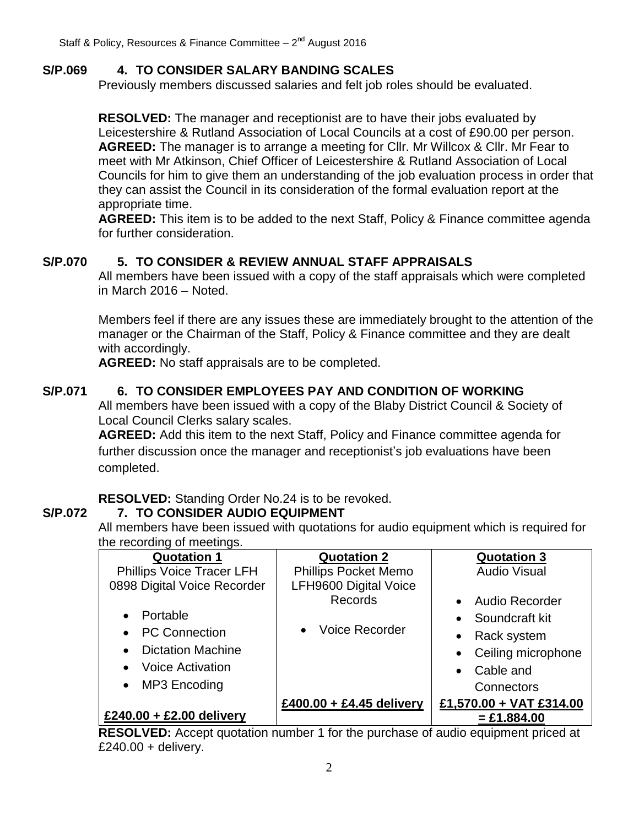## **S/P.069 4. TO CONSIDER SALARY BANDING SCALES**

Previously members discussed salaries and felt job roles should be evaluated.

**RESOLVED:** The manager and receptionist are to have their jobs evaluated by Leicestershire & Rutland Association of Local Councils at a cost of £90.00 per person. **AGREED:** The manager is to arrange a meeting for Cllr. Mr Willcox & Cllr. Mr Fear to meet with Mr Atkinson, Chief Officer of Leicestershire & Rutland Association of Local Councils for him to give them an understanding of the job evaluation process in order that they can assist the Council in its consideration of the formal evaluation report at the appropriate time.

**AGREED:** This item is to be added to the next Staff, Policy & Finance committee agenda for further consideration.

## **S/P.070 5. TO CONSIDER & REVIEW ANNUAL STAFF APPRAISALS**

All members have been issued with a copy of the staff appraisals which were completed in March 2016 – Noted.

Members feel if there are any issues these are immediately brought to the attention of the manager or the Chairman of the Staff, Policy & Finance committee and they are dealt with accordingly.

**AGREED:** No staff appraisals are to be completed.

# **S/P.071 6. TO CONSIDER EMPLOYEES PAY AND CONDITION OF WORKING**

All members have been issued with a copy of the Blaby District Council & Society of Local Council Clerks salary scales.

**AGREED:** Add this item to the next Staff, Policy and Finance committee agenda for further discussion once the manager and receptionist's job evaluations have been completed.

**RESOLVED:** Standing Order No.24 is to be revoked.

## **S/P.072 7. TO CONSIDER AUDIO EQUIPMENT**

All members have been issued with quotations for audio equipment which is required for the recording of meetings.

| <b>Quotation 1</b>                    | <b>Quotation 2</b>                 | <b>Quotation 3</b>                 |
|---------------------------------------|------------------------------------|------------------------------------|
| <b>Phillips Voice Tracer LFH</b>      | <b>Phillips Pocket Memo</b>        | <b>Audio Visual</b>                |
| 0898 Digital Voice Recorder           | LFH9600 Digital Voice              |                                    |
|                                       | Records                            | <b>Audio Recorder</b><br>$\bullet$ |
| Portable                              |                                    | Soundcraft kit<br>$\bullet$        |
| <b>PC Connection</b>                  | <b>Voice Recorder</b><br>$\bullet$ | Rack system<br>$\bullet$           |
| <b>Dictation Machine</b><br>$\bullet$ |                                    | Ceiling microphone<br>$\bullet$    |
| <b>Voice Activation</b>               |                                    | Cable and<br>$\bullet$             |
| MP3 Encoding<br>$\bullet$             |                                    | Connectors                         |
|                                       | £400.00 + £4.45 delivery           | £1,570.00 + VAT £314.00            |
| £240.00 + £2.00 delivery              |                                    | $=$ £1.884.00                      |

**RESOLVED:** Accept quotation number 1 for the purchase of audio equipment priced at  $£240.00 +$  delivery.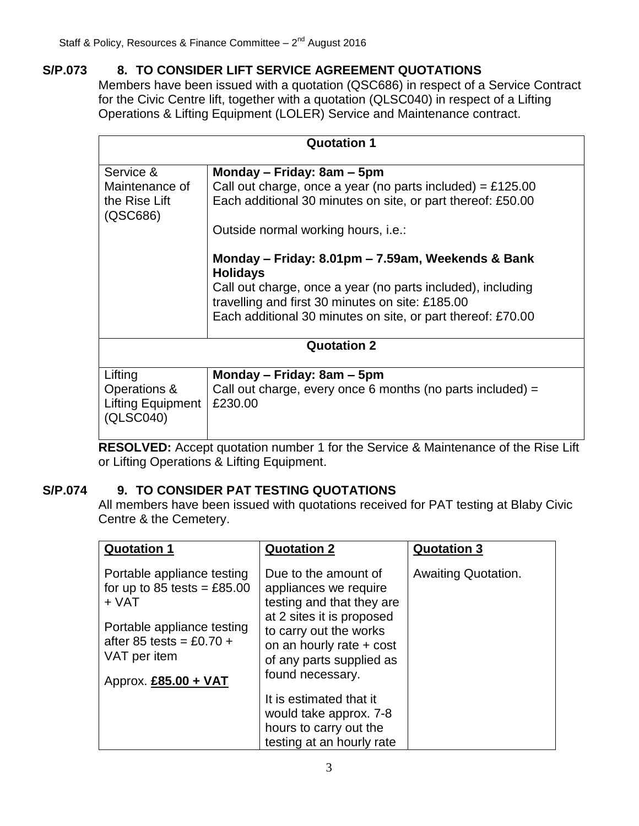## **S/P.073 8. TO CONSIDER LIFT SERVICE AGREEMENT QUOTATIONS**

Members have been issued with a quotation (QSC686) in respect of a Service Contract for the Civic Centre lift, together with a quotation (QLSC040) in respect of a Lifting Operations & Lifting Equipment (LOLER) Service and Maintenance contract.

| <b>Quotation 1</b>        |                                                                                                                 |  |
|---------------------------|-----------------------------------------------------------------------------------------------------------------|--|
|                           |                                                                                                                 |  |
| Service &                 | Monday – Friday: 8am – 5pm                                                                                      |  |
| Maintenance of            | Call out charge, once a year (no parts included) = £125.00                                                      |  |
| the Rise Lift<br>(QSC686) | Each additional 30 minutes on site, or part thereof: £50.00                                                     |  |
|                           | Outside normal working hours, i.e.:                                                                             |  |
|                           | Monday – Friday: 8.01pm – 7.59am, Weekends & Bank<br><b>Holidays</b>                                            |  |
|                           | Call out charge, once a year (no parts included), including                                                     |  |
|                           | travelling and first 30 minutes on site: £185.00<br>Each additional 30 minutes on site, or part thereof: £70.00 |  |
|                           |                                                                                                                 |  |
|                           | <b>Quotation 2</b>                                                                                              |  |
|                           |                                                                                                                 |  |
| Lifting                   | Monday – Friday: 8am – 5pm                                                                                      |  |
| Operations &              | Call out charge, every once 6 months (no parts included) $=$                                                    |  |
| <b>Lifting Equipment</b>  | £230.00                                                                                                         |  |
| (QLSC040)                 |                                                                                                                 |  |

**RESOLVED:** Accept quotation number 1 for the Service & Maintenance of the Rise Lift or Lifting Operations & Lifting Equipment.

## **S/P.074 9. TO CONSIDER PAT TESTING QUOTATIONS**

All members have been issued with quotations received for PAT testing at Blaby Civic Centre & the Cemetery.

| <b>Quotation 1</b>                                                                                                                                                       | <b>Quotation 2</b>                                                                                                                                                                                            | <b>Quotation 3</b>  |
|--------------------------------------------------------------------------------------------------------------------------------------------------------------------------|---------------------------------------------------------------------------------------------------------------------------------------------------------------------------------------------------------------|---------------------|
| Portable appliance testing<br>for up to 85 tests = $£85.00$<br>$+$ VAT<br>Portable appliance testing<br>after 85 tests = £0.70 +<br>VAT per item<br>Approx. £85.00 + VAT | Due to the amount of<br>appliances we require<br>testing and that they are<br>at 2 sites it is proposed<br>to carry out the works<br>on an hourly rate + cost<br>of any parts supplied as<br>found necessary. | Awaiting Quotation. |
|                                                                                                                                                                          | It is estimated that it<br>would take approx. 7-8<br>hours to carry out the<br>testing at an hourly rate                                                                                                      |                     |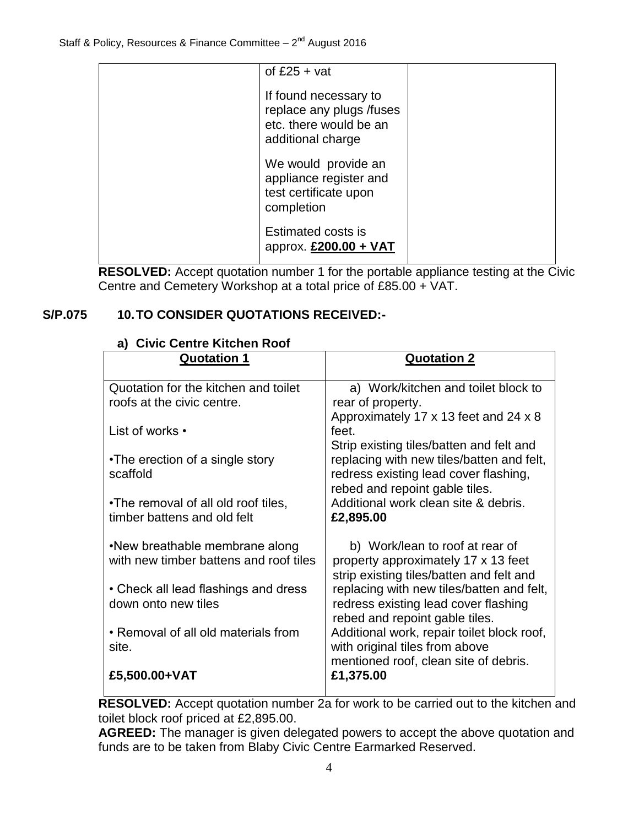| of $£25 + vat$                                                                                   |  |
|--------------------------------------------------------------------------------------------------|--|
| If found necessary to<br>replace any plugs /fuses<br>etc. there would be an<br>additional charge |  |
| We would provide an<br>appliance register and<br>test certificate upon<br>completion             |  |
| <b>Estimated costs is</b><br>approx. $£200.00 + VAT$                                             |  |

**RESOLVED:** Accept quotation number 1 for the portable appliance testing at the Civic Centre and Cemetery Workshop at a total price of £85.00 + VAT.

# **S/P.075 10.TO CONSIDER QUOTATIONS RECEIVED:-**

|  |  | a) Civic Centre Kitchen Roof |  |  |  |
|--|--|------------------------------|--|--|--|
|--|--|------------------------------|--|--|--|

| <b>Quotation 1</b>                     | <b>Quotation 2</b>                                                           |
|----------------------------------------|------------------------------------------------------------------------------|
| Quotation for the kitchen and toilet   | a) Work/kitchen and toilet block to                                          |
| roofs at the civic centre.             | rear of property.                                                            |
|                                        | Approximately 17 x 13 feet and 24 x 8                                        |
| List of works •                        | feet.                                                                        |
|                                        | Strip existing tiles/batten and felt and                                     |
| •The erection of a single story        | replacing with new tiles/batten and felt,                                    |
| scaffold                               | redress existing lead cover flashing,<br>rebed and repoint gable tiles.      |
| . The removal of all old roof tiles,   | Additional work clean site & debris.                                         |
| timber battens and old felt            | £2,895.00                                                                    |
|                                        |                                                                              |
| •New breathable membrane along         | b) Work/lean to roof at rear of                                              |
| with new timber battens and roof tiles | property approximately 17 x 13 feet                                          |
|                                        | strip existing tiles/batten and felt and                                     |
| • Check all lead flashings and dress   | replacing with new tiles/batten and felt,                                    |
| down onto new tiles                    | redress existing lead cover flashing                                         |
| • Removal of all old materials from    | rebed and repoint gable tiles.<br>Additional work, repair toilet block roof, |
| site.                                  | with original tiles from above                                               |
|                                        | mentioned roof, clean site of debris.                                        |
| £5,500.00+VAT                          | £1,375.00                                                                    |
|                                        |                                                                              |

**RESOLVED:** Accept quotation number 2a for work to be carried out to the kitchen and toilet block roof priced at £2,895.00.

**AGREED:** The manager is given delegated powers to accept the above quotation and funds are to be taken from Blaby Civic Centre Earmarked Reserved.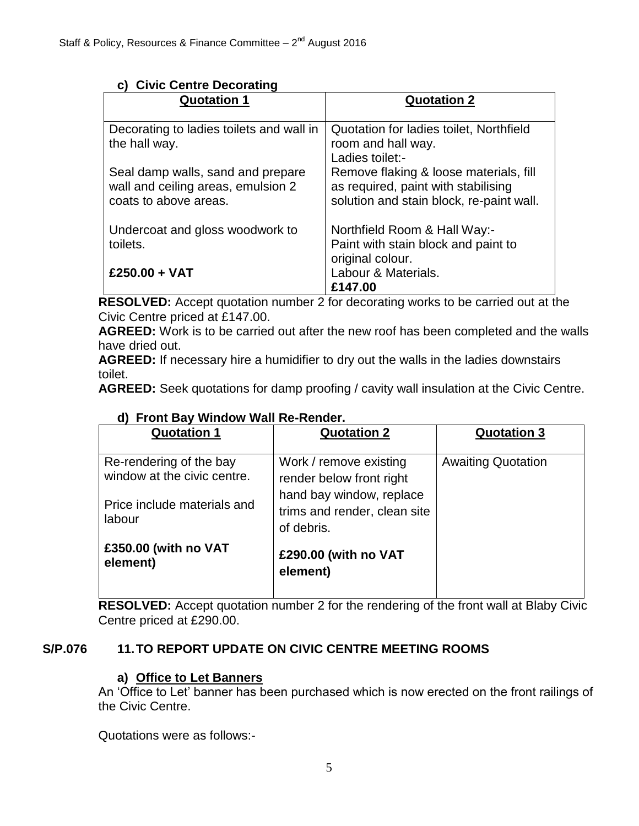|  |  |  | c) Civic Centre Decorating |
|--|--|--|----------------------------|
|--|--|--|----------------------------|

| <b>Quotation 1</b>                                                                               | <b>Quotation 2</b>                                                                                                        |
|--------------------------------------------------------------------------------------------------|---------------------------------------------------------------------------------------------------------------------------|
| Decorating to ladies toilets and wall in<br>the hall way.                                        | Quotation for ladies toilet, Northfield<br>room and hall way.<br>Ladies toilet:-                                          |
| Seal damp walls, sand and prepare<br>wall and ceiling areas, emulsion 2<br>coats to above areas. | Remove flaking & loose materials, fill<br>as required, paint with stabilising<br>solution and stain block, re-paint wall. |
| Undercoat and gloss woodwork to<br>toilets.                                                      | Northfield Room & Hall Way:-<br>Paint with stain block and paint to<br>original colour.                                   |
| £250.00 + VAT                                                                                    | Labour & Materials.<br>£147.00                                                                                            |

**RESOLVED:** Accept quotation number 2 for decorating works to be carried out at the Civic Centre priced at £147.00.

**AGREED:** Work is to be carried out after the new roof has been completed and the walls have dried out.

**AGREED:** If necessary hire a humidifier to dry out the walls in the ladies downstairs toilet.

**AGREED:** Seek quotations for damp proofing / cavity wall insulation at the Civic Centre.

| <b>Quotation 1</b>                                     | <b>Quotation 2</b>                                                     | <b>Quotation 3</b>        |
|--------------------------------------------------------|------------------------------------------------------------------------|---------------------------|
| Re-rendering of the bay<br>window at the civic centre. | Work / remove existing<br>render below front right                     | <b>Awaiting Quotation</b> |
| Price include materials and<br>labour                  | hand bay window, replace<br>trims and render, clean site<br>of debris. |                           |
| £350.00 (with no VAT<br>element)                       | £290.00 (with no VAT<br>element)                                       |                           |

## **d) Front Bay Window Wall Re-Render.**

**RESOLVED:** Accept quotation number 2 for the rendering of the front wall at Blaby Civic Centre priced at £290.00.

# **S/P.076 11.TO REPORT UPDATE ON CIVIC CENTRE MEETING ROOMS**

## **a) Office to Let Banners**

An 'Office to Let' banner has been purchased which is now erected on the front railings of the Civic Centre.

Quotations were as follows:-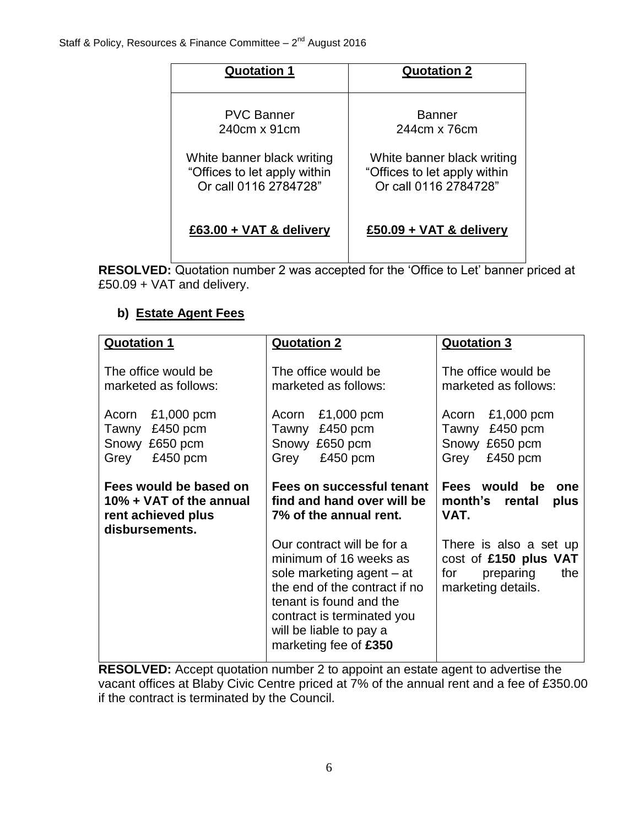| <b>Quotation 1</b>           | <b>Quotation 2</b>           |
|------------------------------|------------------------------|
| <b>PVC Banner</b>            | <b>Banner</b>                |
| 240cm x 91cm                 | 244cm x 76cm                 |
| White banner black writing   | White banner black writing   |
| "Offices to let apply within | "Offices to let apply within |
| Or call 0116 2784728"        | Or call 0116 2784728"        |
| $£63.00 + VAT &$ delivery    | £50.09 + VAT & delivery      |

**RESOLVED:** Quotation number 2 was accepted for the 'Office to Let' banner priced at £50.09 + VAT and delivery.

# **b) Estate Agent Fees**

| <b>Quotation 1</b>                                                                        | <b>Quotation 2</b>                                                                                                                                                                                                              | <b>Quotation 3</b>                                                                               |
|-------------------------------------------------------------------------------------------|---------------------------------------------------------------------------------------------------------------------------------------------------------------------------------------------------------------------------------|--------------------------------------------------------------------------------------------------|
| The office would be<br>marketed as follows:                                               | The office would be<br>marketed as follows:                                                                                                                                                                                     | The office would be<br>marketed as follows:                                                      |
| $£1,000$ pcm<br>Acorn<br>$£450$ pcm<br>Tawny<br>Snowy £650 pcm<br>£450 pcm<br>Grey        | $£1,000$ pcm<br>Acorn<br>Tawny<br>£450 pcm<br>Snowy £650 pcm<br>£450 pcm<br>Grey                                                                                                                                                | $£1,000$ pcm<br>Acorn<br>£450 pcm<br>Tawny<br>£650 pcm<br>Snowy<br>£450 pcm<br>Grey              |
| Fees would be based on<br>10% + VAT of the annual<br>rent achieved plus<br>disbursements. | Fees on successful tenant<br>find and hand over will be<br>7% of the annual rent.                                                                                                                                               | Fees would be<br>one<br>month's<br>rental<br>plus<br>VAT.                                        |
|                                                                                           | Our contract will be for a<br>minimum of 16 weeks as<br>sole marketing agent – at<br>the end of the contract if no<br>tenant is found and the<br>contract is terminated you<br>will be liable to pay a<br>marketing fee of £350 | There is also a set up<br>cost of £150 plus VAT<br>preparing<br>the<br>for<br>marketing details. |

**RESOLVED:** Accept quotation number 2 to appoint an estate agent to advertise the vacant offices at Blaby Civic Centre priced at 7% of the annual rent and a fee of £350.00 if the contract is terminated by the Council.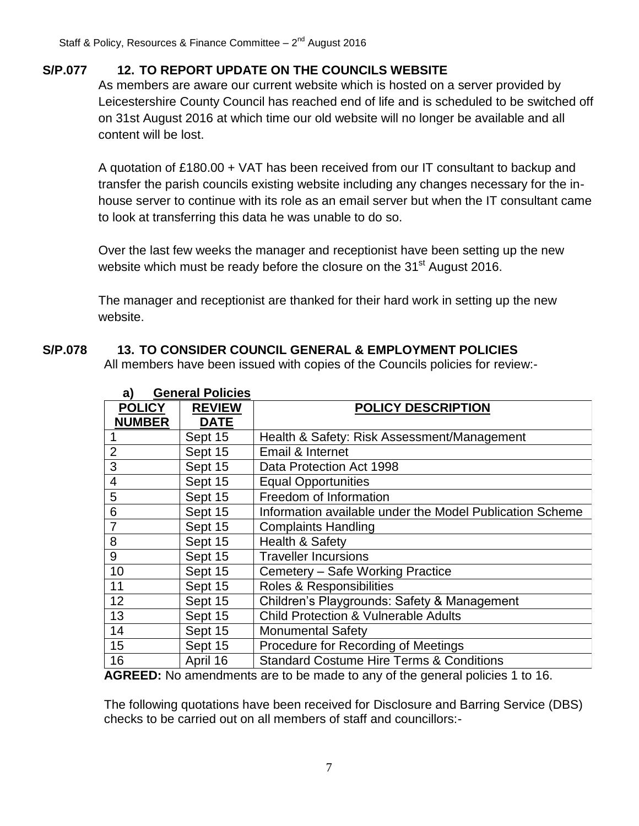# **S/P.077 12. TO REPORT UPDATE ON THE COUNCILS WEBSITE**

As members are aware our current website which is hosted on a server provided by Leicestershire County Council has reached end of life and is scheduled to be switched off on 31st August 2016 at which time our old website will no longer be available and all content will be lost.

A quotation of £180.00 + VAT has been received from our IT consultant to backup and transfer the parish councils existing website including any changes necessary for the inhouse server to continue with its role as an email server but when the IT consultant came to look at transferring this data he was unable to do so.

Over the last few weeks the manager and receptionist have been setting up the new website which must be ready before the closure on the  $31<sup>st</sup>$  August 2016.

The manager and receptionist are thanked for their hard work in setting up the new website.

# **S/P.078 13. TO CONSIDER COUNCIL GENERAL & EMPLOYMENT POLICIES**

All members have been issued with copies of the Councils policies for review:-

| a)             | General Policies |                                                          |
|----------------|------------------|----------------------------------------------------------|
| <b>POLICY</b>  | <b>REVIEW</b>    | <b>POLICY DESCRIPTION</b>                                |
| <b>NUMBER</b>  | <b>DATE</b>      |                                                          |
|                | Sept 15          | Health & Safety: Risk Assessment/Management              |
| $\overline{2}$ | Sept 15          | Email & Internet                                         |
| 3              | Sept 15          | Data Protection Act 1998                                 |
| 4              | Sept 15          | <b>Equal Opportunities</b>                               |
| 5              | Sept 15          | Freedom of Information                                   |
| 6              | Sept 15          | Information available under the Model Publication Scheme |
| $\overline{7}$ | Sept 15          | <b>Complaints Handling</b>                               |
| 8              | Sept 15          | Health & Safety                                          |
| 9              | Sept 15          | <b>Traveller Incursions</b>                              |
| 10             | Sept 15          | Cemetery - Safe Working Practice                         |
| 11             | Sept 15          | Roles & Responsibilities                                 |
| 12             | Sept 15          | Children's Playgrounds: Safety & Management              |
| 13             | Sept 15          | <b>Child Protection &amp; Vulnerable Adults</b>          |
| 14             | Sept 15          | <b>Monumental Safety</b>                                 |
| 15             | Sept 15          | Procedure for Recording of Meetings                      |
| 16             | April 16         | <b>Standard Costume Hire Terms &amp; Conditions</b>      |

# **a) General Policies**

**AGREED:** No amendments are to be made to any of the general policies 1 to 16.

The following quotations have been received for Disclosure and Barring Service (DBS) checks to be carried out on all members of staff and councillors:-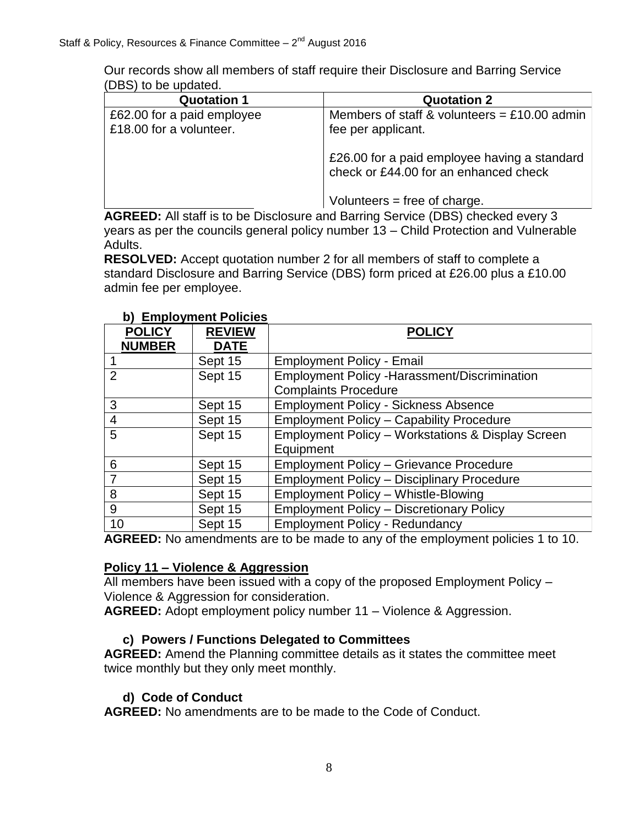Our records show all members of staff require their Disclosure and Barring Service (DBS) to be updated.

| <b>Quotation 1</b>                                    | <b>Quotation 2</b>                                                                    |
|-------------------------------------------------------|---------------------------------------------------------------------------------------|
| £62.00 for a paid employee<br>£18.00 for a volunteer. | Members of staff & volunteers = £10.00 admin<br>fee per applicant.                    |
|                                                       | £26.00 for a paid employee having a standard<br>check or £44.00 for an enhanced check |
|                                                       | Volunteers = free of charge.                                                          |

**AGREED:** All staff is to be Disclosure and Barring Service (DBS) checked every 3 years as per the councils general policy number 13 – Child Protection and Vulnerable Adults.

**RESOLVED:** Accept quotation number 2 for all members of staff to complete a standard Disclosure and Barring Service (DBS) form priced at £26.00 plus a £10.00 admin fee per employee.

| <b>POLICY</b><br><b>NUMBER</b> | <b>REVIEW</b><br><b>DATE</b> | <b>POLICY</b>                                        |
|--------------------------------|------------------------------|------------------------------------------------------|
|                                | Sept 15                      | <b>Employment Policy - Email</b>                     |
| $\overline{2}$                 | Sept 15                      | <b>Employment Policy - Harassment/Discrimination</b> |
|                                |                              | <b>Complaints Procedure</b>                          |
| 3                              | Sept 15                      | <b>Employment Policy - Sickness Absence</b>          |
| $\overline{4}$                 | Sept 15                      | <b>Employment Policy - Capability Procedure</b>      |
| 5                              | Sept 15                      | Employment Policy - Workstations & Display Screen    |
|                                |                              | Equipment                                            |
| 6                              | Sept 15                      | <b>Employment Policy - Grievance Procedure</b>       |
| 7                              | Sept 15                      | <b>Employment Policy - Disciplinary Procedure</b>    |
| 8                              | Sept 15                      | <b>Employment Policy - Whistle-Blowing</b>           |
| 9                              | Sept 15                      | <b>Employment Policy - Discretionary Policy</b>      |
| 10                             | Sept 15                      | <b>Employment Policy - Redundancy</b>                |

#### **b) Employment Policies**

**AGREED:** No amendments are to be made to any of the employment policies 1 to 10.

#### **Policy 11 – Violence & Aggression**

All members have been issued with a copy of the proposed Employment Policy – Violence & Aggression for consideration.

**AGREED:** Adopt employment policy number 11 – Violence & Aggression.

## **c) Powers / Functions Delegated to Committees**

**AGREED:** Amend the Planning committee details as it states the committee meet twice monthly but they only meet monthly.

## **d) Code of Conduct**

**AGREED:** No amendments are to be made to the Code of Conduct.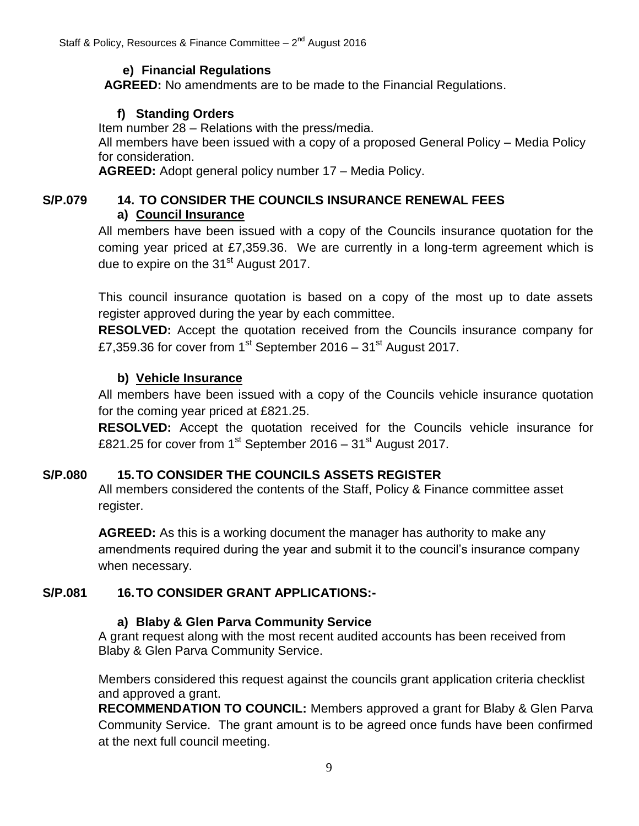## **e) Financial Regulations**

**AGREED:** No amendments are to be made to the Financial Regulations.

## **f) Standing Orders**

Item number 28 – Relations with the press/media.

All members have been issued with a copy of a proposed General Policy – Media Policy for consideration.

**AGREED:** Adopt general policy number 17 – Media Policy.

# **S/P.079 14. TO CONSIDER THE COUNCILS INSURANCE RENEWAL FEES a) Council Insurance**

All members have been issued with a copy of the Councils insurance quotation for the coming year priced at £7,359.36. We are currently in a long-term agreement which is due to expire on the 31<sup>st</sup> August 2017.

This council insurance quotation is based on a copy of the most up to date assets register approved during the year by each committee.

**RESOLVED:** Accept the quotation received from the Councils insurance company for £7,359.36 for cover from 1<sup>st</sup> September 2016 – 31<sup>st</sup> August 2017.

## **b) Vehicle Insurance**

All members have been issued with a copy of the Councils vehicle insurance quotation for the coming year priced at £821.25.

**RESOLVED:** Accept the quotation received for the Councils vehicle insurance for £821.25 for cover from  $1<sup>st</sup>$  September 2016 –  $31<sup>st</sup>$  August 2017.

# **S/P.080 15.TO CONSIDER THE COUNCILS ASSETS REGISTER**

All members considered the contents of the Staff, Policy & Finance committee asset register.

**AGREED:** As this is a working document the manager has authority to make any amendments required during the year and submit it to the council's insurance company when necessary.

# **S/P.081 16.TO CONSIDER GRANT APPLICATIONS:-**

## **a) Blaby & Glen Parva Community Service**

A grant request along with the most recent audited accounts has been received from Blaby & Glen Parva Community Service.

Members considered this request against the councils grant application criteria checklist and approved a grant.

**RECOMMENDATION TO COUNCIL:** Members approved a grant for Blaby & Glen Parva Community Service. The grant amount is to be agreed once funds have been confirmed at the next full council meeting.